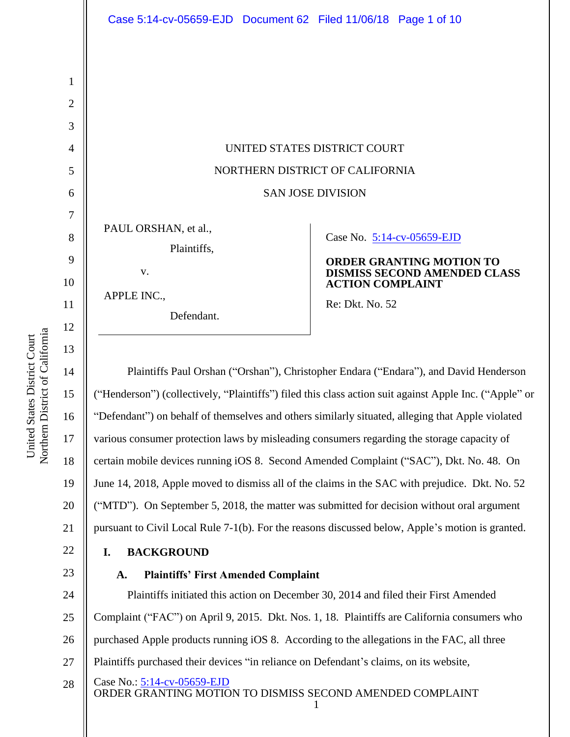UNITED STATES DISTRICT COURT NORTHERN DISTRICT OF CALIFORNIA SAN JOSE DIVISION

PAUL ORSHAN, et al., Plaintiffs,

APPLE INC.,

v.

Defendant.

# Case No. [5:14-cv-05659-EJD](https://ecf.cand.uscourts.gov/cgi-bin/DktRpt.pl?283393)

# **ORDER GRANTING MOTION TO DISMISS SECOND AMENDED CLASS ACTION COMPLAINT**

Re: Dkt. No. 52

Plaintiffs Paul Orshan ("Orshan"), Christopher Endara ("Endara"), and David Henderson ("Henderson") (collectively, "Plaintiffs") filed this class action suit against Apple Inc. ("Apple" or "Defendant") on behalf of themselves and others similarly situated, alleging that Apple violated various consumer protection laws by misleading consumers regarding the storage capacity of certain mobile devices running iOS 8. Second Amended Complaint ("SAC"), Dkt. No. 48. On June 14, 2018, Apple moved to dismiss all of the claims in the SAC with prejudice. Dkt. No. 52 ("MTD"). On September 5, 2018, the matter was submitted for decision without oral argument pursuant to Civil Local Rule 7-1(b). For the reasons discussed below, Apple's motion is granted.

# **I. BACKGROUND**

# **A. Plaintiffs' First Amended Complaint**

Case No.: [5:14-cv-05659-EJD](https://ecf.cand.uscourts.gov/cgi-bin/DktRpt.pl?283393) 24 25 26 27 28 Plaintiffs initiated this action on December 30, 2014 and filed their First Amended Complaint ("FAC") on April 9, 2015. Dkt. Nos. 1, 18. Plaintiffs are California consumers who purchased Apple products running iOS 8. According to the allegations in the FAC, all three Plaintiffs purchased their devices "in reliance on Defendant's claims, on its website,

ORDER GRANTING MOTION TO DISMISS SECOND AMENDED COMPLAINT 1

1

2

3

4

5

6

7

8

9

10

11

12

13

14

15

16

17

18

19

20

21

22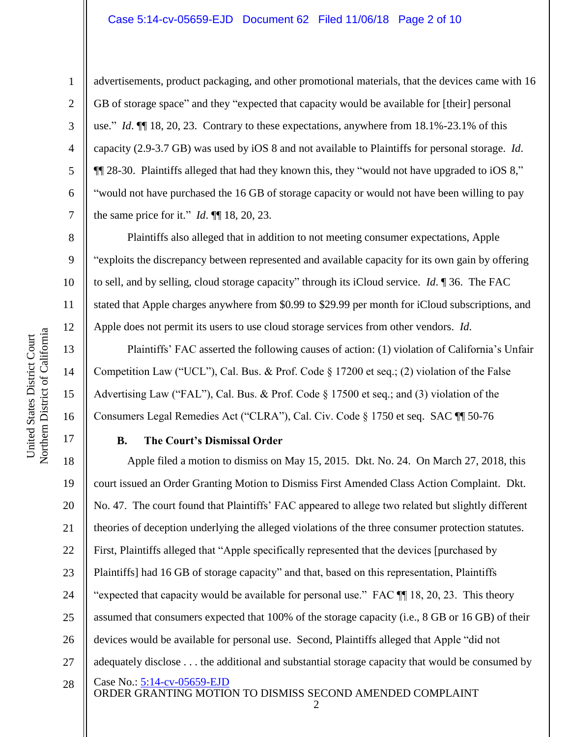# Case 5:14-cv-05659-EJD Document 62 Filed 11/06/18 Page 2 of 10

1

2

3

4

5

6

7

8

9

14

15

United States District Court Northern District of California

Northern District of California United States District Court

16

advertisements, product packaging, and other promotional materials, that the devices came with 16 GB of storage space" and they "expected that capacity would be available for [their] personal use." *Id*. ¶¶ 18, 20, 23. Contrary to these expectations, anywhere from 18.1%-23.1% of this capacity (2.9-3.7 GB) was used by iOS 8 and not available to Plaintiffs for personal storage. *Id*. ¶¶ 28-30. Plaintiffs alleged that had they known this, they "would not have upgraded to iOS 8," "would not have purchased the 16 GB of storage capacity or would not have been willing to pay the same price for it." *Id*. ¶¶ 18, 20, 23.

Plaintiffs also alleged that in addition to not meeting consumer expectations, Apple "exploits the discrepancy between represented and available capacity for its own gain by offering to sell, and by selling, cloud storage capacity" through its iCloud service. *Id*. ¶ 36. The FAC stated that Apple charges anywhere from \$0.99 to \$29.99 per month for iCloud subscriptions, and Apple does not permit its users to use cloud storage services from other vendors. *Id*.

Plaintiffs' FAC asserted the following causes of action: (1) violation of California's Unfair Competition Law ("UCL"), Cal. Bus. & Prof. Code § 17200 et seq.; (2) violation of the False Advertising Law ("FAL"), Cal. Bus. & Prof. Code § 17500 et seq.; and (3) violation of the Consumers Legal Remedies Act ("CLRA"), Cal. Civ. Code § 1750 et seq. SAC ¶¶ 50-76

### 17

# **B. The Court's Dismissal Order**

Case No.: [5:14-cv-05659-EJD](https://ecf.cand.uscourts.gov/cgi-bin/DktRpt.pl?283393) ORDER GRANTING MOTION TO DISMISS SECOND AMENDED COMPLAINT 18 19 20 21 22 23 24 25 26 27 28 Apple filed a motion to dismiss on May 15, 2015. Dkt. No. 24. On March 27, 2018, this court issued an Order Granting Motion to Dismiss First Amended Class Action Complaint. Dkt. No. 47. The court found that Plaintiffs' FAC appeared to allege two related but slightly different theories of deception underlying the alleged violations of the three consumer protection statutes. First, Plaintiffs alleged that "Apple specifically represented that the devices [purchased by Plaintiffs] had 16 GB of storage capacity" and that, based on this representation, Plaintiffs "expected that capacity would be available for personal use." FAC  $\P$  18, 20, 23. This theory assumed that consumers expected that 100% of the storage capacity (i.e., 8 GB or 16 GB) of their devices would be available for personal use. Second, Plaintiffs alleged that Apple "did not adequately disclose . . . the additional and substantial storage capacity that would be consumed by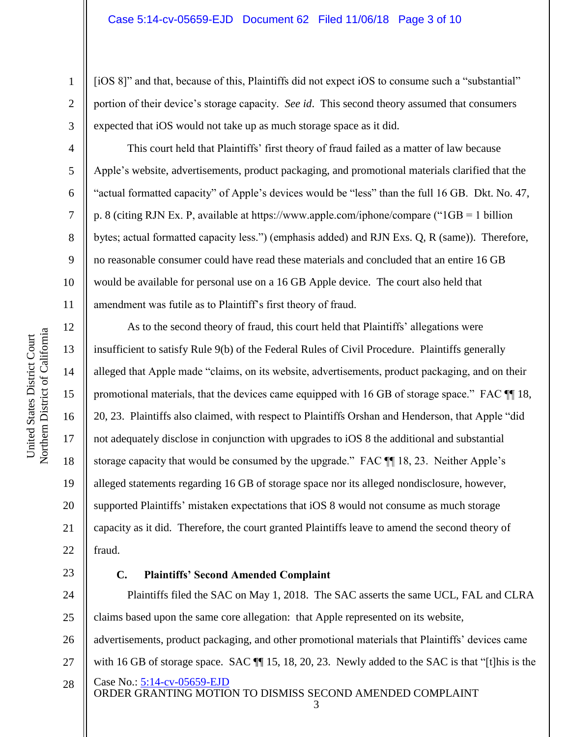[iOS 8]" and that, because of this, Plaintiffs did not expect iOS to consume such a "substantial" portion of their device's storage capacity. *See id*. This second theory assumed that consumers expected that iOS would not take up as much storage space as it did.

This court held that Plaintiffs' first theory of fraud failed as a matter of law because Apple's website, advertisements, product packaging, and promotional materials clarified that the "actual formatted capacity" of Apple's devices would be "less" than the full 16 GB. Dkt. No. 47, p. 8 (citing RJN Ex. P, available at https://www.apple.com/iphone/compare ("1GB = 1 billion bytes; actual formatted capacity less.") (emphasis added) and RJN Exs. Q, R (same)). Therefore, no reasonable consumer could have read these materials and concluded that an entire 16 GB would be available for personal use on a 16 GB Apple device. The court also held that amendment was futile as to Plaintiff's first theory of fraud.

As to the second theory of fraud, this court held that Plaintiffs' allegations were insufficient to satisfy Rule 9(b) of the Federal Rules of Civil Procedure. Plaintiffs generally alleged that Apple made "claims, on its website, advertisements, product packaging, and on their promotional materials, that the devices came equipped with 16 GB of storage space." FAC ¶¶ 18, 20, 23. Plaintiffs also claimed, with respect to Plaintiffs Orshan and Henderson, that Apple "did not adequately disclose in conjunction with upgrades to iOS 8 the additional and substantial storage capacity that would be consumed by the upgrade." FAC ¶¶ 18, 23. Neither Apple's alleged statements regarding 16 GB of storage space nor its alleged nondisclosure, however, supported Plaintiffs' mistaken expectations that iOS 8 would not consume as much storage capacity as it did. Therefore, the court granted Plaintiffs leave to amend the second theory of fraud.

23

# **C. Plaintiffs' Second Amended Complaint**

24 25 26 27 Plaintiffs filed the SAC on May 1, 2018. The SAC asserts the same UCL, FAL and CLRA claims based upon the same core allegation: that Apple represented on its website, advertisements, product packaging, and other promotional materials that Plaintiffs' devices came with 16 GB of storage space. SAC  $\P$  15, 18, 20, 23. Newly added to the SAC is that "[t] his is the

Case No.: [5:14-cv-05659-EJD](https://ecf.cand.uscourts.gov/cgi-bin/DktRpt.pl?283393) ORDER GRANTING MOTION TO DISMISS SECOND AMENDED COMPLAINT 28

3

1

2

3

4

5

6

7

8

9

10

11

12

13

14

15

16

17

18

19

20

21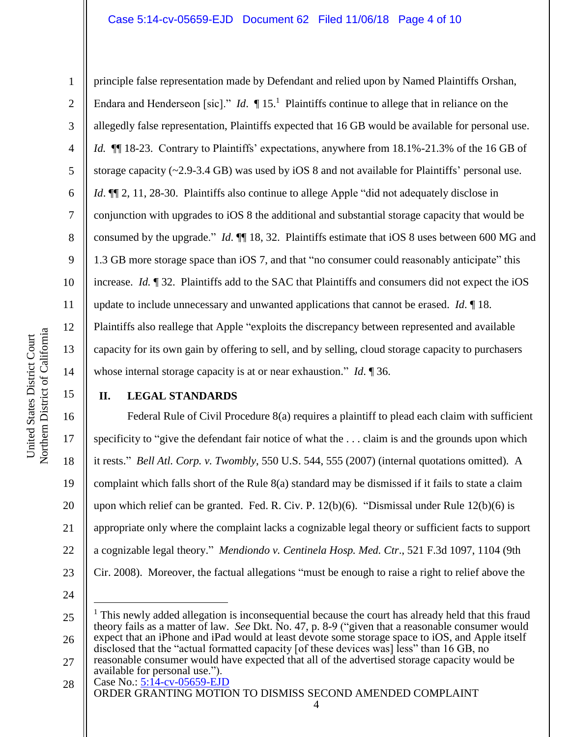### Case 5:14-cv-05659-EJD Document 62 Filed 11/06/18 Page 4 of 10

1

2

3

4

5

6

7

8

9

10

11

12

13

14

17

18

19

21

principle false representation made by Defendant and relied upon by Named Plaintiffs Orshan, Endara and Henderseon [sic]." *Id*.  $\P$  15.<sup>1</sup> Plaintiffs continue to allege that in reliance on the allegedly false representation, Plaintiffs expected that 16 GB would be available for personal use. *Id.* **[16** 18-23. Contrary to Plaintiffs' expectations, anywhere from 18.1%-21.3% of the 16 GB of storage capacity  $(\sim 2.9 - 3.4 \text{ GB})$  was used by iOS 8 and not available for Plaintiffs' personal use. *Id*.  $\P$  2, 11, 28-30. Plaintiffs also continue to allege Apple "did not adequately disclose in conjunction with upgrades to iOS 8 the additional and substantial storage capacity that would be consumed by the upgrade." *Id*. ¶¶ 18, 32. Plaintiffs estimate that iOS 8 uses between 600 MG and 1.3 GB more storage space than iOS 7, and that "no consumer could reasonably anticipate" this increase. *Id.* ¶ 32. Plaintiffs add to the SAC that Plaintiffs and consumers did not expect the iOS update to include unnecessary and unwanted applications that cannot be erased. *Id*. ¶ 18. Plaintiffs also reallege that Apple "exploits the discrepancy between represented and available capacity for its own gain by offering to sell, and by selling, cloud storage capacity to purchasers whose internal storage capacity is at or near exhaustion." *Id*. ¶ 36.

15

## **II. LEGAL STANDARDS**

16 20 22 Federal Rule of Civil Procedure 8(a) requires a plaintiff to plead each claim with sufficient specificity to "give the defendant fair notice of what the . . . claim is and the grounds upon which it rests." *Bell Atl. Corp. v. Twombly*, 550 U.S. 544, 555 (2007) (internal quotations omitted). A complaint which falls short of the Rule 8(a) standard may be dismissed if it fails to state a claim upon which relief can be granted. Fed. R. Civ. P. 12(b)(6). "Dismissal under Rule 12(b)(6) is appropriate only where the complaint lacks a cognizable legal theory or sufficient facts to support a cognizable legal theory." *Mendiondo v. Centinela Hosp. Med. Ctr*., 521 F.3d 1097, 1104 (9th Cir. 2008). Moreover, the factual allegations "must be enough to raise a right to relief above the

24

 $\overline{a}$ 

23

disclosed that the "actual formatted capacity [of these devices was] less" than 16 GB, no

<sup>25</sup> 26 <sup>1</sup> This newly added allegation is inconsequential because the court has already held that this fraud theory fails as a matter of law. *See* Dkt. No. 47, p. 8-9 ("given that a reasonable consumer would expect that an iPhone and iPad would at least devote some storage space to iOS, and Apple itself

<sup>27</sup> reasonable consumer would have expected that all of the advertised storage capacity would be available for personal use.").

Case No.: [5:14-cv-05659-EJD](https://ecf.cand.uscourts.gov/cgi-bin/DktRpt.pl?283393) ORDER GRANTING MOTION TO DISMISS SECOND AMENDED COMPLAINT 28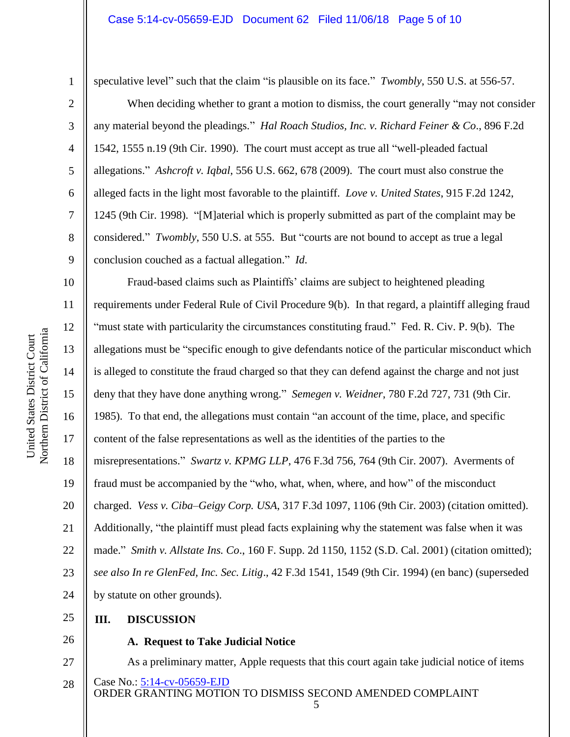#### Case 5:14-cv-05659-EJD Document 62 Filed 11/06/18 Page 5 of 10

4

5

6

7

8

9

1

speculative level" such that the claim "is plausible on its face." *Twombly*, 550 U.S. at 556-57.

When deciding whether to grant a motion to dismiss, the court generally "may not consider" any material beyond the pleadings." *Hal Roach Studios, Inc. v. Richard Feiner & Co*., 896 F.2d 1542, 1555 n.19 (9th Cir. 1990). The court must accept as true all "well-pleaded factual allegations." *Ashcroft v. Iqbal*, 556 U.S. 662, 678 (2009). The court must also construe the alleged facts in the light most favorable to the plaintiff. *Love v. United States*, 915 F.2d 1242, 1245 (9th Cir. 1998). "[M]aterial which is properly submitted as part of the complaint may be considered." *Twombly*, 550 U.S. at 555. But "courts are not bound to accept as true a legal conclusion couched as a factual allegation." *Id*.

10 11 12 13 14 15 16 17 18 19 20 21 22 23 24 Fraud-based claims such as Plaintiffs' claims are subject to heightened pleading requirements under Federal Rule of Civil Procedure 9(b). In that regard, a plaintiff alleging fraud "must state with particularity the circumstances constituting fraud." Fed. R. Civ. P. 9(b). The allegations must be "specific enough to give defendants notice of the particular misconduct which is alleged to constitute the fraud charged so that they can defend against the charge and not just deny that they have done anything wrong." *Semegen v. Weidner*, 780 F.2d 727, 731 (9th Cir. 1985). To that end, the allegations must contain "an account of the time, place, and specific content of the false representations as well as the identities of the parties to the misrepresentations." *Swartz v. KPMG LLP*, 476 F.3d 756, 764 (9th Cir. 2007). Averments of fraud must be accompanied by the "who, what, when, where, and how" of the misconduct charged. *Vess v. Ciba–Geigy Corp. USA*, 317 F.3d 1097, 1106 (9th Cir. 2003) (citation omitted). Additionally, "the plaintiff must plead facts explaining why the statement was false when it was made." *Smith v. Allstate Ins. Co*., 160 F. Supp. 2d 1150, 1152 (S.D. Cal. 2001) (citation omitted); *see also In re GlenFed, Inc. Sec. Litig*., 42 F.3d 1541, 1549 (9th Cir. 1994) (en banc) (superseded by statute on other grounds).

#### 25 **III. DISCUSSION**

26

#### **A. Request to Take Judicial Notice**

Case No.: [5:14-cv-05659-EJD](https://ecf.cand.uscourts.gov/cgi-bin/DktRpt.pl?283393) ORDER GRANTING MOTION TO DISMISS SECOND AMENDED COMPLAINT 27 28 As a preliminary matter, Apple requests that this court again take judicial notice of items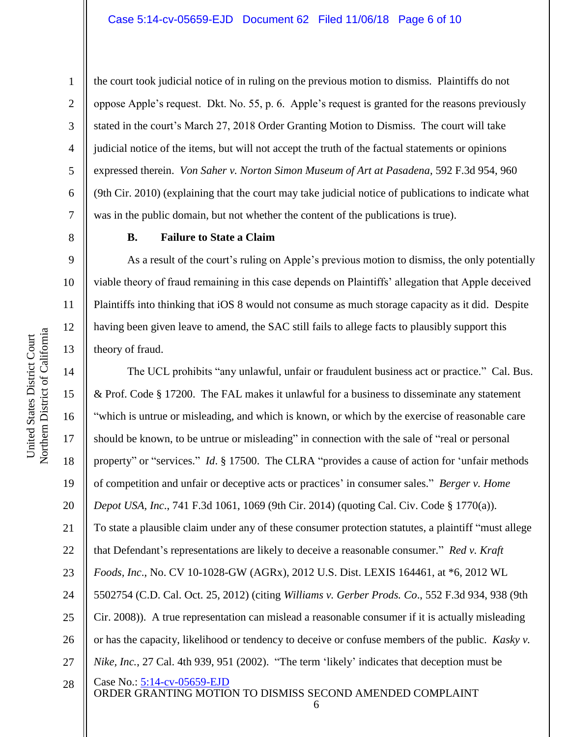12

13

1

the court took judicial notice of in ruling on the previous motion to dismiss. Plaintiffs do not oppose Apple's request. Dkt. No. 55, p. 6. Apple's request is granted for the reasons previously stated in the court's March 27, 2018 Order Granting Motion to Dismiss. The court will take judicial notice of the items, but will not accept the truth of the factual statements or opinions expressed therein. *Von Saher v. Norton Simon Museum of Art at Pasadena*, 592 F.3d 954, 960 (9th Cir. 2010) (explaining that the court may take judicial notice of publications to indicate what was in the public domain, but not whether the content of the publications is true).

**B. Failure to State a Claim**

As a result of the court's ruling on Apple's previous motion to dismiss, the only potentially viable theory of fraud remaining in this case depends on Plaintiffs' allegation that Apple deceived Plaintiffs into thinking that iOS 8 would not consume as much storage capacity as it did. Despite having been given leave to amend, the SAC still fails to allege facts to plausibly support this theory of fraud.

Case No.: [5:14-cv-05659-EJD](https://ecf.cand.uscourts.gov/cgi-bin/DktRpt.pl?283393) ORDER GRANTING MOTION TO DISMISS SECOND AMENDED COMPLAINT 6 14 15 16 17 18 19 20 21 22 23 24 25 26 27 28 The UCL prohibits "any unlawful, unfair or fraudulent business act or practice." Cal. Bus. & Prof. Code § 17200. The FAL makes it unlawful for a business to disseminate any statement "which is untrue or misleading, and which is known, or which by the exercise of reasonable care should be known, to be untrue or misleading" in connection with the sale of "real or personal property" or "services." *Id*. § 17500. The CLRA "provides a cause of action for 'unfair methods of competition and unfair or deceptive acts or practices' in consumer sales." *Berger v. Home Depot USA, Inc*., 741 F.3d 1061, 1069 (9th Cir. 2014) (quoting Cal. Civ. Code § 1770(a)). To state a plausible claim under any of these consumer protection statutes, a plaintiff "must allege that Defendant's representations are likely to deceive a reasonable consumer." *Red v. Kraft Foods, Inc*., No. CV 10-1028-GW (AGRx), 2012 U.S. Dist. LEXIS 164461, at \*6, 2012 WL 5502754 (C.D. Cal. Oct. 25, 2012) (citing *Williams v. Gerber Prods. Co*., 552 F.3d 934, 938 (9th Cir. 2008)). A true representation can mislead a reasonable consumer if it is actually misleading or has the capacity, likelihood or tendency to deceive or confuse members of the public. *Kasky v. Nike, Inc.*, 27 Cal. 4th 939, 951 (2002). "The term 'likely' indicates that deception must be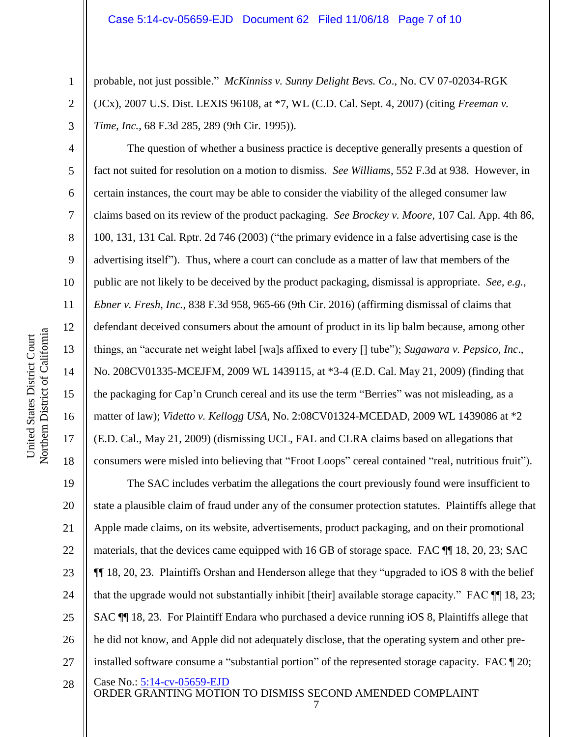probable, not just possible." *McKinniss v. Sunny Delight Bevs. Co*., No. CV 07-02034-RGK (JCx), 2007 U.S. Dist. LEXIS 96108, at \*7, WL (C.D. Cal. Sept. 4, 2007) (citing *Freeman v. Time, Inc.*, 68 F.3d 285, 289 (9th Cir. 1995)).

The question of whether a business practice is deceptive generally presents a question of fact not suited for resolution on a motion to dismiss. *See Williams*, 552 F.3d at 938. However, in certain instances, the court may be able to consider the viability of the alleged consumer law claims based on its review of the product packaging. *See Brockey v. Moore*, 107 Cal. App. 4th 86, 100, 131, 131 Cal. Rptr. 2d 746 (2003) ("the primary evidence in a false advertising case is the advertising itself"). Thus, where a court can conclude as a matter of law that members of the public are not likely to be deceived by the product packaging, dismissal is appropriate. *See, e.g.*, *Ebner v. Fresh, Inc.*, 838 F.3d 958, 965-66 (9th Cir. 2016) (affirming dismissal of claims that defendant deceived consumers about the amount of product in its lip balm because, among other things, an "accurate net weight label [wa]s affixed to every [] tube"); *Sugawara v. Pepsico, Inc*., No. 208CV01335-MCEJFM, 2009 WL 1439115, at \*3-4 (E.D. Cal. May 21, 2009) (finding that the packaging for Cap'n Crunch cereal and its use the term "Berries" was not misleading, as a matter of law); *Videtto v. Kellogg USA*, No. 2:08CV01324-MCEDAD, 2009 WL 1439086 at \*2 (E.D. Cal., May 21, 2009) (dismissing UCL, FAL and CLRA claims based on allegations that consumers were misled into believing that "Froot Loops" cereal contained "real, nutritious fruit").

Case No.: [5:14-cv-05659-EJD](https://ecf.cand.uscourts.gov/cgi-bin/DktRpt.pl?283393) ORDER GRANTING MOTION TO DISMISS SECOND AMENDED COMPLAINT 19 20 21 22 23 24 25 26 27 28 The SAC includes verbatim the allegations the court previously found were insufficient to state a plausible claim of fraud under any of the consumer protection statutes. Plaintiffs allege that Apple made claims, on its website, advertisements, product packaging, and on their promotional materials, that the devices came equipped with 16 GB of storage space. FAC ¶¶ 18, 20, 23; SAC ¶¶ 18, 20, 23. Plaintiffs Orshan and Henderson allege that they "upgraded to iOS 8 with the belief that the upgrade would not substantially inhibit [their] available storage capacity." FAC ¶¶ 18, 23; SAC ¶¶ 18, 23. For Plaintiff Endara who purchased a device running iOS 8, Plaintiffs allege that he did not know, and Apple did not adequately disclose, that the operating system and other preinstalled software consume a "substantial portion" of the represented storage capacity. FAC ¶ 20;

1

2

3

4

5

6

7

8

9

10

11

12

13

14

15

16

17

18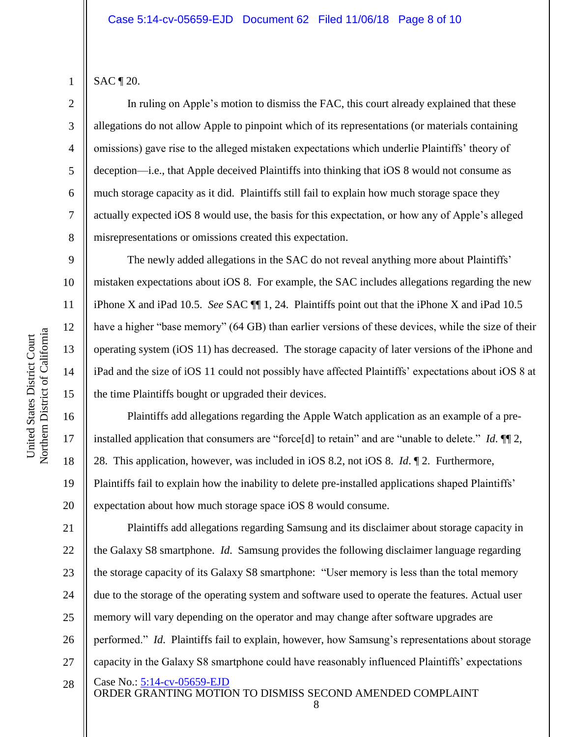1

2

3

4

5

6

7

8

9

10

11

12

13

14

15

16

17

18

19

20

SAC ¶ 20.

In ruling on Apple's motion to dismiss the FAC, this court already explained that these allegations do not allow Apple to pinpoint which of its representations (or materials containing omissions) gave rise to the alleged mistaken expectations which underlie Plaintiffs' theory of deception—i.e., that Apple deceived Plaintiffs into thinking that iOS 8 would not consume as much storage capacity as it did. Plaintiffs still fail to explain how much storage space they actually expected iOS 8 would use, the basis for this expectation, or how any of Apple's alleged misrepresentations or omissions created this expectation.

The newly added allegations in the SAC do not reveal anything more about Plaintiffs' mistaken expectations about iOS 8. For example, the SAC includes allegations regarding the new iPhone X and iPad 10.5. *See* SAC ¶¶ 1, 24. Plaintiffs point out that the iPhone X and iPad 10.5 have a higher "base memory" (64 GB) than earlier versions of these devices, while the size of their operating system (iOS 11) has decreased. The storage capacity of later versions of the iPhone and iPad and the size of iOS 11 could not possibly have affected Plaintiffs' expectations about iOS 8 at the time Plaintiffs bought or upgraded their devices.

Plaintiffs add allegations regarding the Apple Watch application as an example of a preinstalled application that consumers are "force[d] to retain" and are "unable to delete." *Id*. ¶¶ 2, 28. This application, however, was included in iOS 8.2, not iOS 8. *Id*. ¶ 2. Furthermore, Plaintiffs fail to explain how the inability to delete pre-installed applications shaped Plaintiffs' expectation about how much storage space iOS 8 would consume.

Case No.: [5:14-cv-05659-EJD](https://ecf.cand.uscourts.gov/cgi-bin/DktRpt.pl?283393) ORDER GRANTING MOTION TO DISMISS SECOND AMENDED COMPLAINT 8 21 22 23 24 25 26 27 28 Plaintiffs add allegations regarding Samsung and its disclaimer about storage capacity in the Galaxy S8 smartphone. *Id*. Samsung provides the following disclaimer language regarding the storage capacity of its Galaxy S8 smartphone: "User memory is less than the total memory due to the storage of the operating system and software used to operate the features. Actual user memory will vary depending on the operator and may change after software upgrades are performed." *Id*. Plaintiffs fail to explain, however, how Samsung's representations about storage capacity in the Galaxy S8 smartphone could have reasonably influenced Plaintiffs' expectations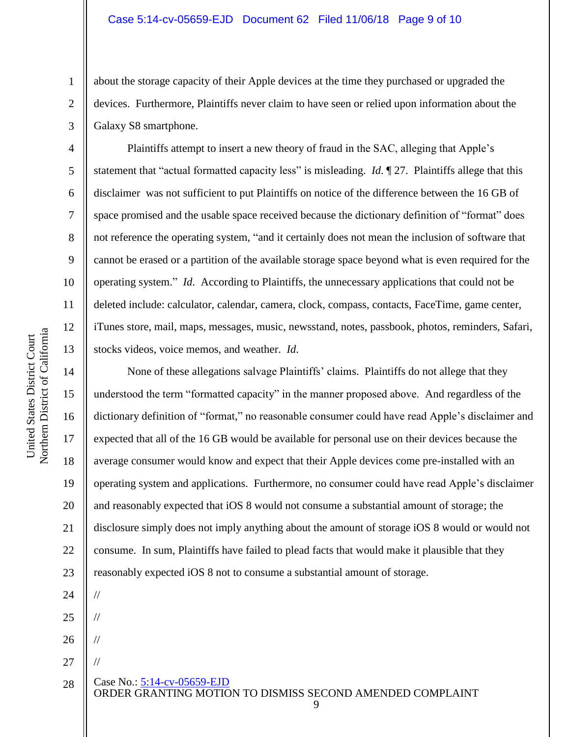about the storage capacity of their Apple devices at the time they purchased or upgraded the devices. Furthermore, Plaintiffs never claim to have seen or relied upon information about the Galaxy S8 smartphone.

Plaintiffs attempt to insert a new theory of fraud in the SAC, alleging that Apple's statement that "actual formatted capacity less" is misleading. *Id*. ¶ 27. Plaintiffs allege that this disclaimer was not sufficient to put Plaintiffs on notice of the difference between the 16 GB of space promised and the usable space received because the dictionary definition of "format" does not reference the operating system, "and it certainly does not mean the inclusion of software that cannot be erased or a partition of the available storage space beyond what is even required for the operating system." *Id*. According to Plaintiffs, the unnecessary applications that could not be deleted include: calculator, calendar, camera, clock, compass, contacts, FaceTime, game center, iTunes store, mail, maps, messages, music, newsstand, notes, passbook, photos, reminders, Safari, stocks videos, voice memos, and weather. *Id*.

None of these allegations salvage Plaintiffs' claims. Plaintiffs do not allege that they understood the term "formatted capacity" in the manner proposed above. And regardless of the dictionary definition of "format," no reasonable consumer could have read Apple's disclaimer and expected that all of the 16 GB would be available for personal use on their devices because the average consumer would know and expect that their Apple devices come pre-installed with an operating system and applications. Furthermore, no consumer could have read Apple's disclaimer and reasonably expected that iOS 8 would not consume a substantial amount of storage; the disclosure simply does not imply anything about the amount of storage iOS 8 would or would not consume. In sum, Plaintiffs have failed to plead facts that would make it plausible that they reasonably expected iOS 8 not to consume a substantial amount of storage. //

24 25 26 // //

27

//

Case No.: [5:14-cv-05659-EJD](https://ecf.cand.uscourts.gov/cgi-bin/DktRpt.pl?283393)

ORDER GRANTING MOTION TO DISMISS SECOND AMENDED COMPLAINT 28

9

1

2

3

4

5

6

7

8

9

10

11

12

13

14

15

16

17

18

19

20

21

22